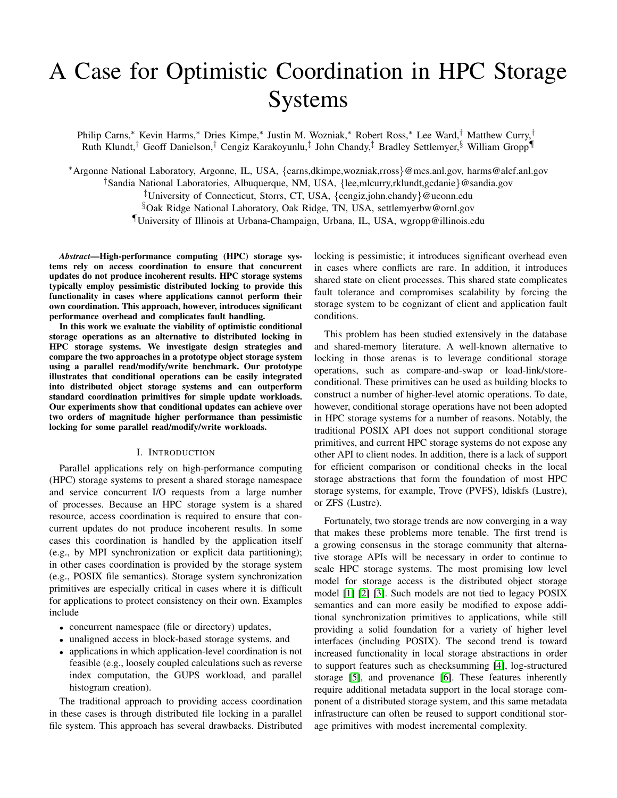# A Case for Optimistic Coordination in HPC Storage Systems

Philip Carns,<sup>∗</sup> Kevin Harms,<sup>∗</sup> Dries Kimpe,<sup>∗</sup> Justin M. Wozniak,<sup>∗</sup> Robert Ross,<sup>∗</sup> Lee Ward,† Matthew Curry,† Ruth Klundt,<sup>†</sup> Geoff Danielson,<sup>†</sup> Cengiz Karakoyunlu,<sup>‡</sup> John Chandy,<sup>‡</sup> Bradley Settlemyer,§ William Gropp¶

<sup>∗</sup>Argonne National Laboratory, Argonne, IL, USA, {carns,dkimpe,wozniak,rross}@mcs.anl.gov, harms@alcf.anl.gov †Sandia National Laboratories, Albuquerque, NM, USA, {lee,mlcurry,rklundt,gcdanie}@sandia.gov ‡University of Connecticut, Storrs, CT, USA, {cengiz,john.chandy}@uconn.edu §Oak Ridge National Laboratory, Oak Ridge, TN, USA, settlemyerbw@ornl.gov ¶University of Illinois at Urbana-Champaign, Urbana, IL, USA, wgropp@illinois.edu

*Abstract*—High-performance computing (HPC) storage systems rely on access coordination to ensure that concurrent updates do not produce incoherent results. HPC storage systems typically employ pessimistic distributed locking to provide this functionality in cases where applications cannot perform their own coordination. This approach, however, introduces significant performance overhead and complicates fault handling.

In this work we evaluate the viability of optimistic conditional storage operations as an alternative to distributed locking in HPC storage systems. We investigate design strategies and compare the two approaches in a prototype object storage system using a parallel read/modify/write benchmark. Our prototype illustrates that conditional operations can be easily integrated into distributed object storage systems and can outperform standard coordination primitives for simple update workloads. Our experiments show that conditional updates can achieve over two orders of magnitude higher performance than pessimistic locking for some parallel read/modify/write workloads.

# I. INTRODUCTION

Parallel applications rely on high-performance computing (HPC) storage systems to present a shared storage namespace and service concurrent I/O requests from a large number of processes. Because an HPC storage system is a shared resource, access coordination is required to ensure that concurrent updates do not produce incoherent results. In some cases this coordination is handled by the application itself (e.g., by MPI synchronization or explicit data partitioning); in other cases coordination is provided by the storage system (e.g., POSIX file semantics). Storage system synchronization primitives are especially critical in cases where it is difficult for applications to protect consistency on their own. Examples include

- concurrent namespace (file or directory) updates,
- unaligned access in block-based storage systems, and
- applications in which application-level coordination is not feasible (e.g., loosely coupled calculations such as reverse index computation, the GUPS workload, and parallel histogram creation).

The traditional approach to providing access coordination in these cases is through distributed file locking in a parallel file system. This approach has several drawbacks. Distributed locking is pessimistic; it introduces significant overhead even in cases where conflicts are rare. In addition, it introduces shared state on client processes. This shared state complicates fault tolerance and compromises scalability by forcing the storage system to be cognizant of client and application fault conditions.

This problem has been studied extensively in the database and shared-memory literature. A well-known alternative to locking in those arenas is to leverage conditional storage operations, such as compare-and-swap or load-link/storeconditional. These primitives can be used as building blocks to construct a number of higher-level atomic operations. To date, however, conditional storage operations have not been adopted in HPC storage systems for a number of reasons. Notably, the traditional POSIX API does not support conditional storage primitives, and current HPC storage systems do not expose any other API to client nodes. In addition, there is a lack of support for efficient comparison or conditional checks in the local storage abstractions that form the foundation of most HPC storage systems, for example, Trove (PVFS), ldiskfs (Lustre), or ZFS (Lustre).

Fortunately, two storage trends are now converging in a way that makes these problems more tenable. The first trend is a growing consensus in the storage community that alternative storage APIs will be necessary in order to continue to scale HPC storage systems. The most promising low level model for storage access is the distributed object storage model [\[1\]](#page-5-0) [\[2\]](#page-5-1) [\[3\]](#page-5-2). Such models are not tied to legacy POSIX semantics and can more easily be modified to expose additional synchronization primitives to applications, while still providing a solid foundation for a variety of higher level interfaces (including POSIX). The second trend is toward increased functionality in local storage abstractions in order to support features such as checksumming [\[4\]](#page-5-3), log-structured storage [\[5\]](#page-5-4), and provenance [\[6\]](#page-5-5). These features inherently require additional metadata support in the local storage component of a distributed storage system, and this same metadata infrastructure can often be reused to support conditional storage primitives with modest incremental complexity.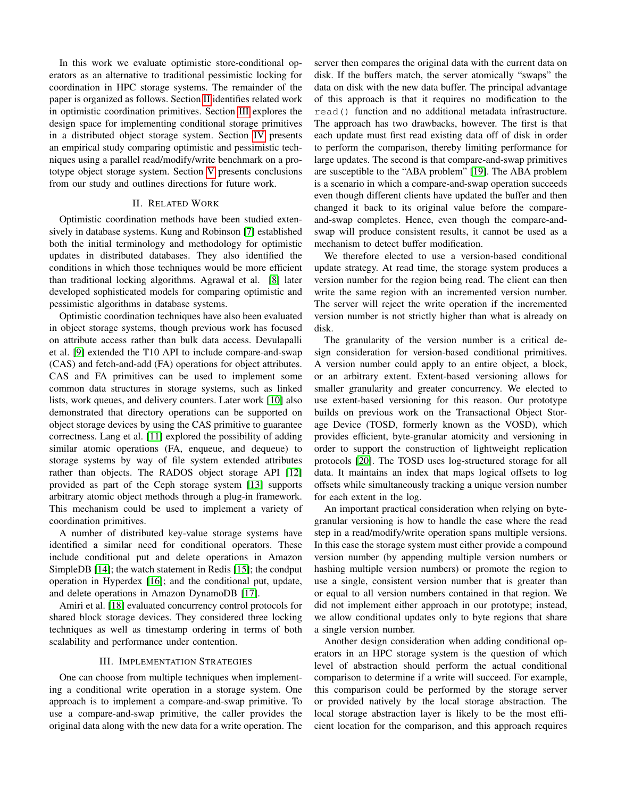In this work we evaluate optimistic store-conditional operators as an alternative to traditional pessimistic locking for coordination in HPC storage systems. The remainder of the paper is organized as follows. Section [II](#page-1-0) identifies related work in optimistic coordination primitives. Section [III](#page-1-1) explores the design space for implementing conditional storage primitives in a distributed object storage system. Section [IV](#page-2-0) presents an empirical study comparing optimistic and pessimistic techniques using a parallel read/modify/write benchmark on a prototype object storage system. Section [V](#page-4-0) presents conclusions from our study and outlines directions for future work.

# II. RELATED WORK

<span id="page-1-0"></span>Optimistic coordination methods have been studied extensively in database systems. Kung and Robinson [\[7\]](#page-5-6) established both the initial terminology and methodology for optimistic updates in distributed databases. They also identified the conditions in which those techniques would be more efficient than traditional locking algorithms. Agrawal et al. [\[8\]](#page-5-7) later developed sophisticated models for comparing optimistic and pessimistic algorithms in database systems.

Optimistic coordination techniques have also been evaluated in object storage systems, though previous work has focused on attribute access rather than bulk data access. Devulapalli et al. [\[9\]](#page-5-8) extended the T10 API to include compare-and-swap (CAS) and fetch-and-add (FA) operations for object attributes. CAS and FA primitives can be used to implement some common data structures in storage systems, such as linked lists, work queues, and delivery counters. Later work [\[10\]](#page-5-9) also demonstrated that directory operations can be supported on object storage devices by using the CAS primitive to guarantee correctness. Lang et al. [\[11\]](#page-5-10) explored the possibility of adding similar atomic operations (FA, enqueue, and dequeue) to storage systems by way of file system extended attributes rather than objects. The RADOS object storage API [\[12\]](#page-5-11) provided as part of the Ceph storage system [\[13\]](#page-5-12) supports arbitrary atomic object methods through a plug-in framework. This mechanism could be used to implement a variety of coordination primitives.

A number of distributed key-value storage systems have identified a similar need for conditional operators. These include conditional put and delete operations in Amazon SimpleDB [\[14\]](#page-5-13); the watch statement in Redis [\[15\]](#page-5-14); the condput operation in Hyperdex [\[16\]](#page-5-15); and the conditional put, update, and delete operations in Amazon DynamoDB [\[17\]](#page-5-16).

Amiri et al. [\[18\]](#page-5-17) evaluated concurrency control protocols for shared block storage devices. They considered three locking techniques as well as timestamp ordering in terms of both scalability and performance under contention.

# III. IMPLEMENTATION STRATEGIES

<span id="page-1-1"></span>One can choose from multiple techniques when implementing a conditional write operation in a storage system. One approach is to implement a compare-and-swap primitive. To use a compare-and-swap primitive, the caller provides the original data along with the new data for a write operation. The server then compares the original data with the current data on disk. If the buffers match, the server atomically "swaps" the data on disk with the new data buffer. The principal advantage of this approach is that it requires no modification to the read() function and no additional metadata infrastructure. The approach has two drawbacks, however. The first is that each update must first read existing data off of disk in order to perform the comparison, thereby limiting performance for large updates. The second is that compare-and-swap primitives are susceptible to the "ABA problem" [\[19\]](#page-5-18). The ABA problem is a scenario in which a compare-and-swap operation succeeds even though different clients have updated the buffer and then changed it back to its original value before the compareand-swap completes. Hence, even though the compare-andswap will produce consistent results, it cannot be used as a mechanism to detect buffer modification.

We therefore elected to use a version-based conditional update strategy. At read time, the storage system produces a version number for the region being read. The client can then write the same region with an incremented version number. The server will reject the write operation if the incremented version number is not strictly higher than what is already on disk.

The granularity of the version number is a critical design consideration for version-based conditional primitives. A version number could apply to an entire object, a block, or an arbitrary extent. Extent-based versioning allows for smaller granularity and greater concurrency. We elected to use extent-based versioning for this reason. Our prototype builds on previous work on the Transactional Object Storage Device (TOSD, formerly known as the VOSD), which provides efficient, byte-granular atomicity and versioning in order to support the construction of lightweight replication protocols [\[20\]](#page-5-19). The TOSD uses log-structured storage for all data. It maintains an index that maps logical offsets to log offsets while simultaneously tracking a unique version number for each extent in the log.

An important practical consideration when relying on bytegranular versioning is how to handle the case where the read step in a read/modify/write operation spans multiple versions. In this case the storage system must either provide a compound version number (by appending multiple version numbers or hashing multiple version numbers) or promote the region to use a single, consistent version number that is greater than or equal to all version numbers contained in that region. We did not implement either approach in our prototype; instead, we allow conditional updates only to byte regions that share a single version number.

Another design consideration when adding conditional operators in an HPC storage system is the question of which level of abstraction should perform the actual conditional comparison to determine if a write will succeed. For example, this comparison could be performed by the storage server or provided natively by the local storage abstraction. The local storage abstraction layer is likely to be the most efficient location for the comparison, and this approach requires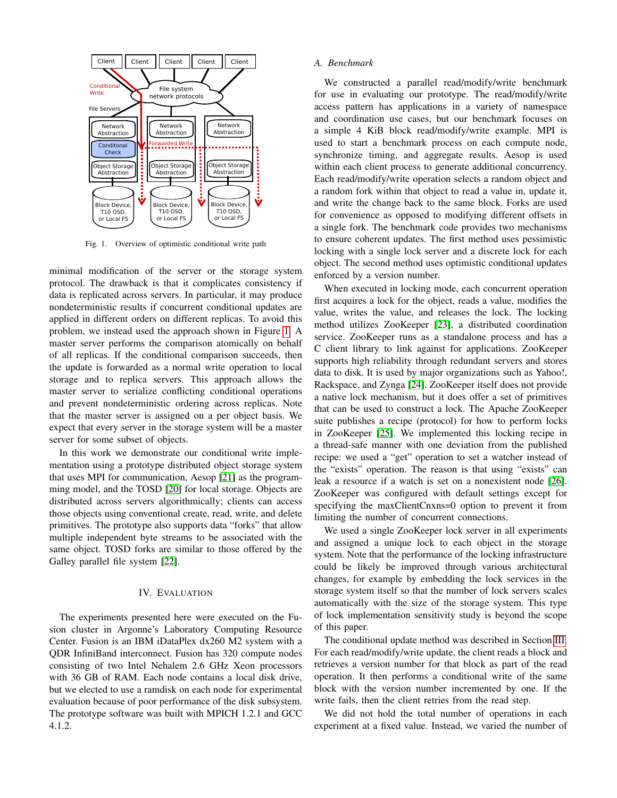

<span id="page-2-1"></span>Fig. 1. Overview of optimistic conditional write path

minimal modification of the server or the storage system protocol. The drawback is that it complicates consistency if data is replicated across servers. In particular, it may produce nondeterministic results if concurrent conditional updates are applied in different orders on different replicas. To avoid this problem, we instead used the approach shown in Figure [1.](#page-2-1) A master server performs the comparison atomically on behalf of all replicas. If the conditional comparison succeeds, then the update is forwarded as a normal write operation to local storage and to replica servers. This approach allows the master server to serialize conflicting conditional operations and prevent nondeterministic ordering across replicas. Note that the master server is assigned on a per object basis. We expect that every server in the storage system will be a master server for some subset of objects.

In this work we demonstrate our conditional write implementation using a prototype distributed object storage system that uses MPI for communication, Aesop [\[21\]](#page-5-20) as the programming model, and the TOSD [\[20\]](#page-5-19) for local storage. Objects are distributed across servers algorithmically; clients can access those objects using conventional create, read, write, and delete primitives. The prototype also supports data "forks" that allow multiple independent byte streams to be associated with the same object. TOSD forks are similar to those offered by the Galley parallel file system [\[22\]](#page-5-21).

# IV. EVALUATION

<span id="page-2-0"></span>The experiments presented here were executed on the Fusion cluster in Argonne's Laboratory Computing Resource Center. Fusion is an IBM iDataPlex dx260 M2 system with a QDR InfiniBand interconnect. Fusion has 320 compute nodes consisting of two Intel Nehalem 2.6 GHz Xeon processors with 36 GB of RAM. Each node contains a local disk drive, but we elected to use a ramdisk on each node for experimental evaluation because of poor performance of the disk subsystem. The prototype software was built with MPICH 1.2.1 and GCC 4.1.2.

#### *A. Benchmark*

We constructed a parallel read/modify/write benchmark for use in evaluating our prototype. The read/modify/write access pattern has applications in a variety of namespace and coordination use cases, but our benchmark focuses on a simple 4 KiB block read/modify/write example. MPI is used to start a benchmark process on each compute node, synchronize timing, and aggregate results. Aesop is used within each client process to generate additional concurrency. Each read/modify/write operation selects a random object and a random fork within that object to read a value in, update it, and write the change back to the same block. Forks are used for convenience as opposed to modifying different offsets in a single fork. The benchmark code provides two mechanisms to ensure coherent updates. The first method uses pessimistic locking with a single lock server and a discrete lock for each object. The second method uses optimistic conditional updates enforced by a version number.

When executed in locking mode, each concurrent operation first acquires a lock for the object, reads a value, modifies the value, writes the value, and releases the lock. The locking method utilizes ZooKeeper [\[23\]](#page-5-22), a distributed coordination service. ZooKeeper runs as a standalone process and has a C client library to link against for applications. ZooKeeper supports high reliability through redundant servers and stores data to disk. It is used by major organizations such as Yahoo!, Rackspace, and Zynga [\[24\]](#page-5-23). ZooKeeper itself does not provide a native lock mechanism, but it does offer a set of primitives that can be used to construct a lock. The Apache ZooKeeper suite publishes a recipe (protocol) for how to perform locks in ZooKeeper [\[25\]](#page-5-24). We implemented this locking recipe in a thread-safe manner with one deviation from the published recipe: we used a "get" operation to set a watcher instead of the "exists" operation. The reason is that using "exists" can leak a resource if a watch is set on a nonexistent node [\[26\]](#page-5-25). ZooKeeper was configured with default settings except for specifying the maxClientCnxns=0 option to prevent it from limiting the number of concurrent connections.

We used a single ZooKeeper lock server in all experiments and assigned a unique lock to each object in the storage system. Note that the performance of the locking infrastructure could be likely be improved through various architectural changes, for example by embedding the lock services in the storage system itself so that the number of lock servers scales automatically with the size of the storage system. This type of lock implementation sensitivity study is beyond the scope of this paper.

The conditional update method was described in Section [III.](#page-1-1) For each read/modify/write update, the client reads a block and retrieves a version number for that block as part of the read operation. It then performs a conditional write of the same block with the version number incremented by one. If the write fails, then the client retries from the read step.

We did not hold the total number of operations in each experiment at a fixed value. Instead, we varied the number of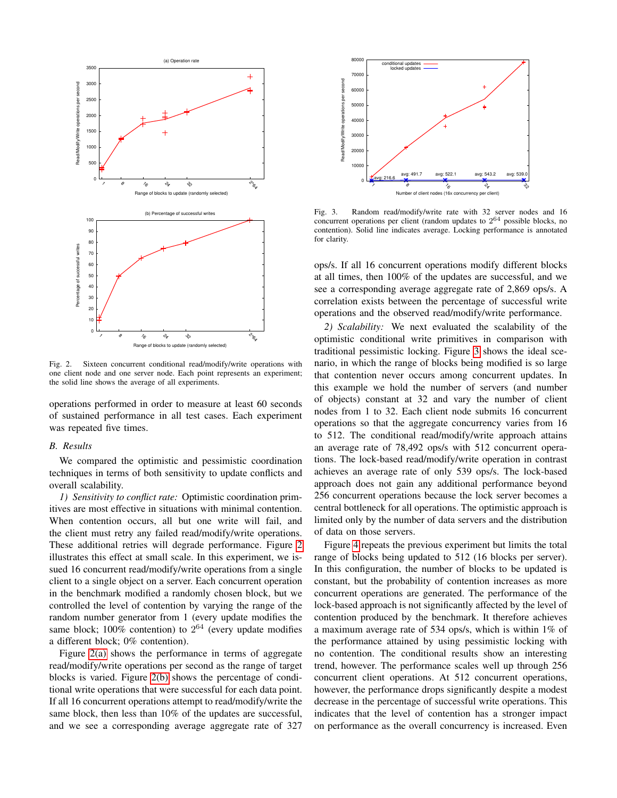<span id="page-3-1"></span>

<span id="page-3-2"></span><span id="page-3-0"></span>Fig. 2. Sixteen concurrent conditional read/modify/write operations with one client node and one server node. Each point represents an experiment; the solid line shows the average of all experiments.

operations performed in order to measure at least 60 seconds of sustained performance in all test cases. Each experiment was repeated five times.

## *B. Results*

We compared the optimistic and pessimistic coordination techniques in terms of both sensitivity to update conflicts and overall scalability.

*1) Sensitivity to conflict rate:* Optimistic coordination primitives are most effective in situations with minimal contention. When contention occurs, all but one write will fail, and the client must retry any failed read/modify/write operations. These additional retries will degrade performance. Figure [2](#page-3-0) illustrates this effect at small scale. In this experiment, we issued 16 concurrent read/modify/write operations from a single client to a single object on a server. Each concurrent operation in the benchmark modified a randomly chosen block, but we controlled the level of contention by varying the range of the random number generator from 1 (every update modifies the same block; 100% contention) to  $2^{64}$  (every update modifies a different block; 0% contention).

Figure [2\(a\)](#page-3-1) shows the performance in terms of aggregate read/modify/write operations per second as the range of target blocks is varied. Figure [2\(b\)](#page-3-2) shows the percentage of conditional write operations that were successful for each data point. If all 16 concurrent operations attempt to read/modify/write the same block, then less than 10% of the updates are successful, and we see a corresponding average aggregate rate of 327



<span id="page-3-3"></span>Fig. 3. Random read/modify/write rate with 32 server nodes and 16 concurrent operations per client (random updates to  $2^{64}$  possible blocks, no contention). Solid line indicates average. Locking performance is annotated for clarity.

ops/s. If all 16 concurrent operations modify different blocks at all times, then 100% of the updates are successful, and we see a corresponding average aggregate rate of 2,869 ops/s. A correlation exists between the percentage of successful write operations and the observed read/modify/write performance.

*2) Scalability:* We next evaluated the scalability of the optimistic conditional write primitives in comparison with traditional pessimistic locking. Figure [3](#page-3-3) shows the ideal scenario, in which the range of blocks being modified is so large that contention never occurs among concurrent updates. In this example we hold the number of servers (and number of objects) constant at 32 and vary the number of client nodes from 1 to 32. Each client node submits 16 concurrent operations so that the aggregate concurrency varies from 16 to 512. The conditional read/modify/write approach attains an average rate of 78,492 ops/s with 512 concurrent operations. The lock-based read/modify/write operation in contrast achieves an average rate of only 539 ops/s. The lock-based approach does not gain any additional performance beyond 256 concurrent operations because the lock server becomes a central bottleneck for all operations. The optimistic approach is limited only by the number of data servers and the distribution of data on those servers.

Figure [4](#page-4-1) repeats the previous experiment but limits the total range of blocks being updated to 512 (16 blocks per server). In this configuration, the number of blocks to be updated is constant, but the probability of contention increases as more concurrent operations are generated. The performance of the lock-based approach is not significantly affected by the level of contention produced by the benchmark. It therefore achieves a maximum average rate of 534 ops/s, which is within 1% of the performance attained by using pessimistic locking with no contention. The conditional results show an interesting trend, however. The performance scales well up through 256 concurrent client operations. At 512 concurrent operations, however, the performance drops significantly despite a modest decrease in the percentage of successful write operations. This indicates that the level of contention has a stronger impact on performance as the overall concurrency is increased. Even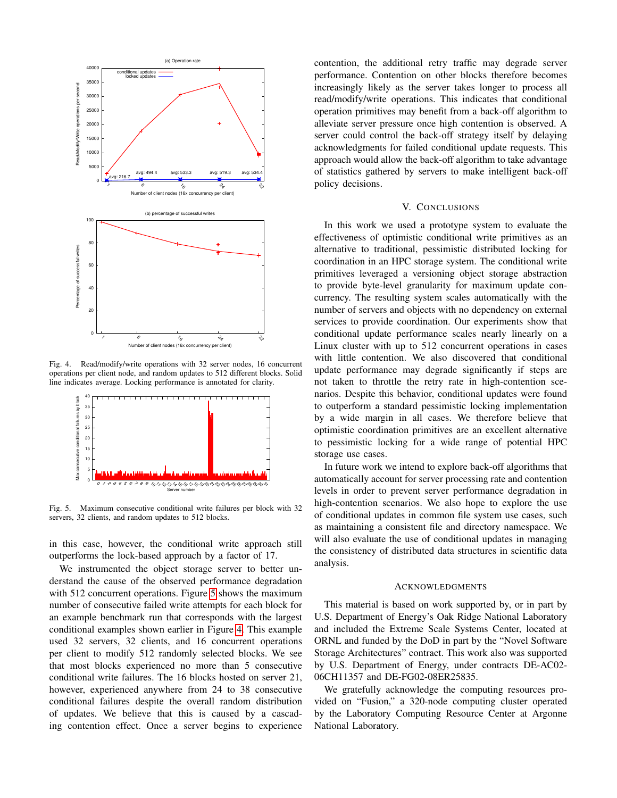

<span id="page-4-1"></span>Fig. 4. Read/modify/write operations with 32 server nodes, 16 concurrent operations per client node, and random updates to 512 different blocks. Solid line indicates average. Locking performance is annotated for clarity.



<span id="page-4-2"></span>Fig. 5. Maximum consecutive conditional write failures per block with 32 servers, 32 clients, and random updates to 512 blocks.

in this case, however, the conditional write approach still outperforms the lock-based approach by a factor of 17.

We instrumented the object storage server to better understand the cause of the observed performance degradation with [5](#page-4-2)12 concurrent operations. Figure 5 shows the maximum number of consecutive failed write attempts for each block for an example benchmark run that corresponds with the largest conditional examples shown earlier in Figure [4.](#page-4-1) This example used 32 servers, 32 clients, and 16 concurrent operations per client to modify 512 randomly selected blocks. We see that most blocks experienced no more than 5 consecutive conditional write failures. The 16 blocks hosted on server 21, however, experienced anywhere from 24 to 38 consecutive conditional failures despite the overall random distribution of updates. We believe that this is caused by a cascading contention effect. Once a server begins to experience

contention, the additional retry traffic may degrade server performance. Contention on other blocks therefore becomes increasingly likely as the server takes longer to process all read/modify/write operations. This indicates that conditional operation primitives may benefit from a back-off algorithm to alleviate server pressure once high contention is observed. A server could control the back-off strategy itself by delaying acknowledgments for failed conditional update requests. This approach would allow the back-off algorithm to take advantage of statistics gathered by servers to make intelligent back-off policy decisions.

#### V. CONCLUSIONS

<span id="page-4-0"></span>In this work we used a prototype system to evaluate the effectiveness of optimistic conditional write primitives as an alternative to traditional, pessimistic distributed locking for coordination in an HPC storage system. The conditional write primitives leveraged a versioning object storage abstraction to provide byte-level granularity for maximum update concurrency. The resulting system scales automatically with the number of servers and objects with no dependency on external services to provide coordination. Our experiments show that conditional update performance scales nearly linearly on a Linux cluster with up to 512 concurrent operations in cases with little contention. We also discovered that conditional update performance may degrade significantly if steps are not taken to throttle the retry rate in high-contention scenarios. Despite this behavior, conditional updates were found to outperform a standard pessimistic locking implementation by a wide margin in all cases. We therefore believe that optimistic coordination primitives are an excellent alternative to pessimistic locking for a wide range of potential HPC storage use cases.

In future work we intend to explore back-off algorithms that automatically account for server processing rate and contention levels in order to prevent server performance degradation in high-contention scenarios. We also hope to explore the use of conditional updates in common file system use cases, such as maintaining a consistent file and directory namespace. We will also evaluate the use of conditional updates in managing the consistency of distributed data structures in scientific data analysis.

## **ACKNOWLEDGMENTS**

This material is based on work supported by, or in part by U.S. Department of Energy's Oak Ridge National Laboratory and included the Extreme Scale Systems Center, located at ORNL and funded by the DoD in part by the "Novel Software Storage Architectures" contract. This work also was supported by U.S. Department of Energy, under contracts DE-AC02- 06CH11357 and DE-FG02-08ER25835.

We gratefully acknowledge the computing resources provided on "Fusion," a 320-node computing cluster operated by the Laboratory Computing Resource Center at Argonne National Laboratory.